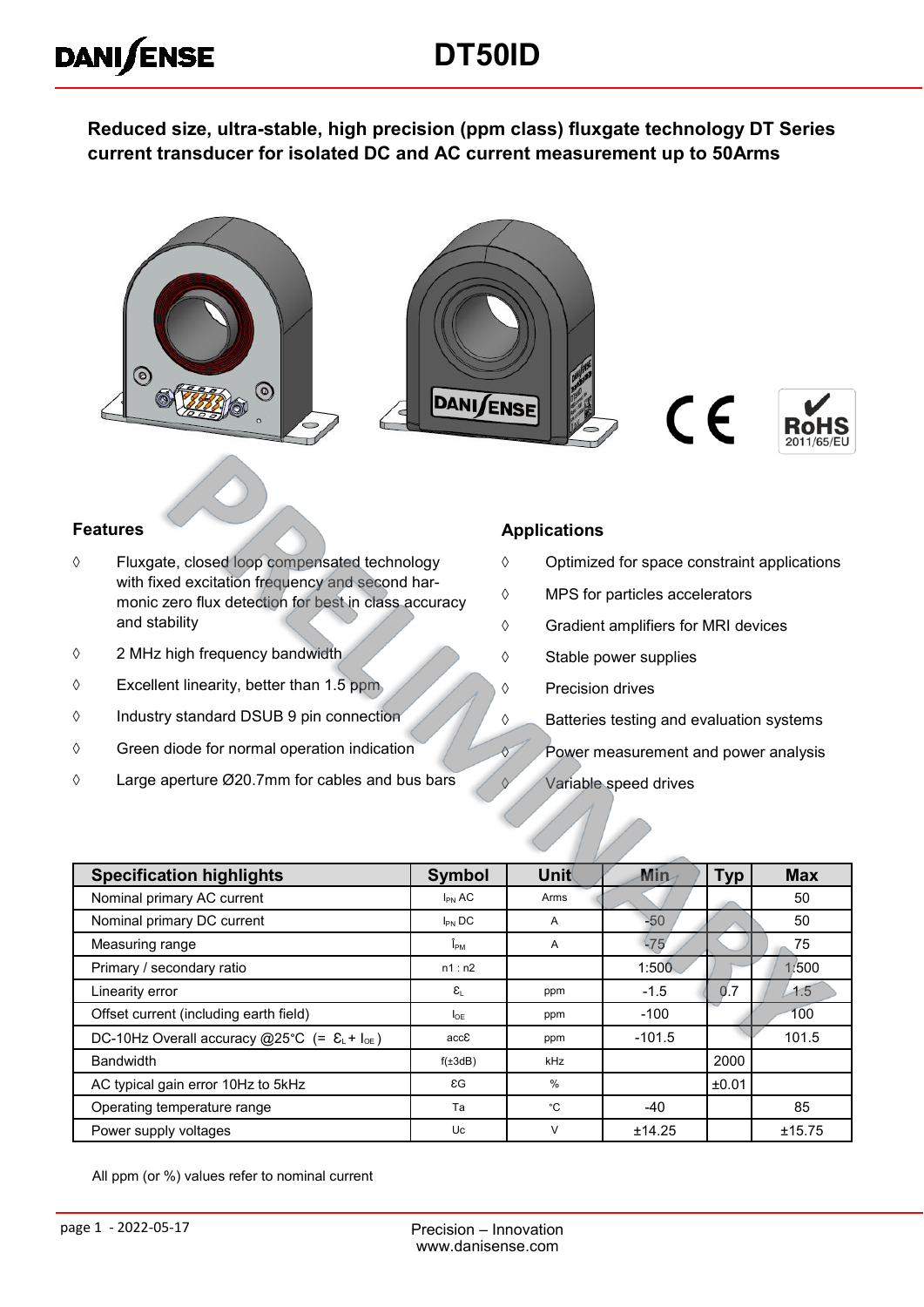# **DT50ID**

**Reduced size, ultra-stable, high precision (ppm class) fluxgate technology DT Series current transducer for isolated DC and AC current measurement up to 50Arms**









#### **Features**

**DANISENSE** 

- Fluxgate, closed loop compensated technology with fixed excitation frequency and second harmonic zero flux detection for best in class accuracy and stability
- 2 MHz high frequency bandwidth
- $\Diamond$  Excellent linearity, better than 1.5 ppm
- Industry standard DSUB 9 pin connection
- $\Diamond$  Green diode for normal operation indication
- Large aperture Ø20.7mm for cables and bus bars

#### **Applications**

- $\Diamond$  Optimized for space constraint applications
- MPS for particles accelerators
- Gradient amplifiers for MRI devices
- $\diamond$  Stable power supplies
- ♦ Precision drives
- **S** Batteries testing and evaluation systems
- **Power measurement and power analysis**
- $\sqrt{V}$  Variable speed drives

| <b>Specification highlights</b>                                    | Symbol                                  | Unit       | Min      | <b>Typ</b> | <b>Max</b> |
|--------------------------------------------------------------------|-----------------------------------------|------------|----------|------------|------------|
| Nominal primary AC current                                         | $I_{PN}$ AC                             | Arms       |          |            | 50         |
| Nominal primary DC current                                         | $I_{PN}$ DC                             | A          | 50       |            | 50         |
| Measuring range                                                    | Î <sub>РМ</sub>                         | A          | $-75$    |            | 75         |
| Primary / secondary ratio                                          | n1:n2                                   |            | 1:500    |            | 1/500      |
| Linearity error                                                    | $\varepsilon_{\scriptscriptstyle\perp}$ | ppm        | $-1.5$   | 0.7        | $-1.5$     |
| Offset current (including earth field)                             | <b>I</b> OF                             | ppm        | $-100$   |            | 100        |
| DC-10Hz Overall accuracy @25°C (= $\epsilon_L$ + I <sub>oE</sub> ) | accE                                    | ppm        | $-101.5$ |            | 101.5      |
| <b>Bandwidth</b>                                                   | $f(\pm 3dB)$                            | <b>kHz</b> |          | 2000       |            |
| AC typical gain error 10Hz to 5kHz                                 | $\epsilon$ G                            | %          |          | ±0.01      |            |
| Operating temperature range                                        | Ta                                      | °C         | $-40$    |            | 85         |
| Power supply voltages                                              | Uc                                      | $\vee$     | ±14.25   |            | ±15.75     |

All ppm (or %) values refer to nominal current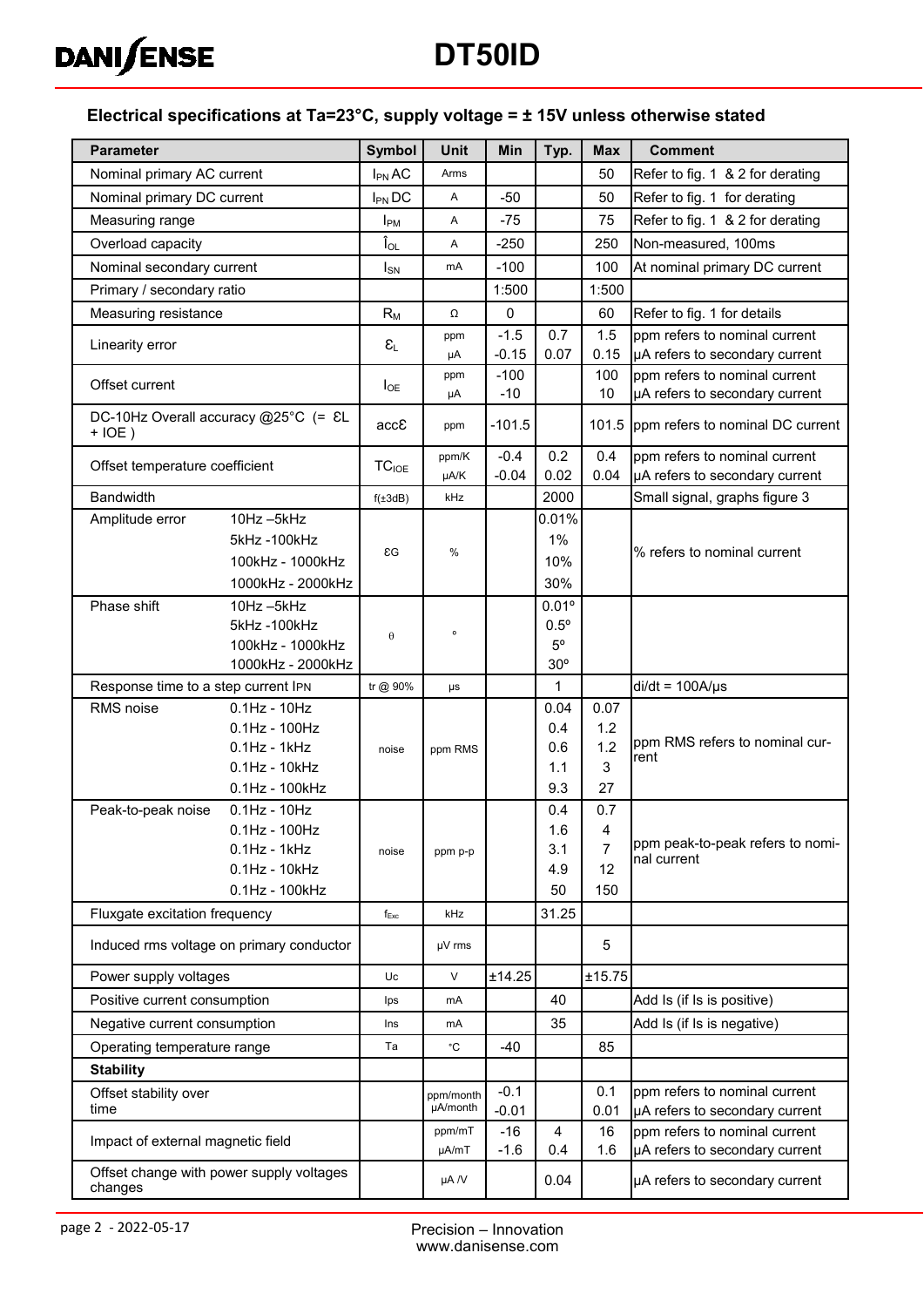

# **DT50ID**

#### **Electrical specifications at Ta=23°C, supply voltage = ± 15V unless otherwise stated**

| <b>Parameter</b>                                    |                                            | Symbol                           | <b>Unit</b>           | Min               | Typ.                  | <b>Max</b>     | <b>Comment</b>                                                  |
|-----------------------------------------------------|--------------------------------------------|----------------------------------|-----------------------|-------------------|-----------------------|----------------|-----------------------------------------------------------------|
| Nominal primary AC current                          |                                            | $I_{PN}$ AC                      | Arms                  |                   |                       | 50             | Refer to fig. 1 & 2 for derating                                |
|                                                     | Nominal primary DC current                 |                                  | Α                     | $-50$             |                       | 50             | Refer to fig. 1 for derating                                    |
| Measuring range                                     |                                            | $I_{PM}$                         | Α                     | $-75$             |                       | 75             | Refer to fig. 1 & 2 for derating                                |
| Overload capacity                                   |                                            | $\mathbf{\hat{l}}_{\mathsf{OL}}$ | Α                     | $-250$            |                       | 250            | Non-measured, 100ms                                             |
| Nominal secondary current                           |                                            | $I_{SN}$                         | mA                    | $-100$            |                       | 100            | At nominal primary DC current                                   |
| Primary / secondary ratio                           |                                            |                                  |                       | 1:500             |                       | 1:500          |                                                                 |
| Measuring resistance                                |                                            | $R_{M}$                          | Ω                     | $\pmb{0}$         |                       | 60             | Refer to fig. 1 for details                                     |
| Linearity error                                     |                                            | $\epsilon_{\text{\tiny L}}$      | ppm                   | $-1.5$            | 0.7                   | 1.5            | ppm refers to nominal current                                   |
|                                                     |                                            |                                  | μA                    | $-0.15$           | 0.07                  | 0.15           | µA refers to secondary current                                  |
| Offset current                                      |                                            | $I_{OE}$                         | ppm<br>μA             | $-100$<br>$-10$   |                       | 100<br>10      | ppm refers to nominal current<br>µA refers to secondary current |
| $+IOE)$                                             | DC-10Hz Overall accuracy @25°C (= &L       | accE                             | ppm                   | $-101.5$          |                       | 101.5          | ppm refers to nominal DC current                                |
|                                                     |                                            |                                  | ppm/K                 | $-0.4$            | 0.2                   | 0.4            | ppm refers to nominal current                                   |
| Offset temperature coefficient                      |                                            | $\mathsf{TC}_{\mathsf{IOE}}$     | µA/K                  | $-0.04$           | 0.02                  | 0.04           | µA refers to secondary current                                  |
| <b>Bandwidth</b>                                    |                                            | $f(\pm 3dB)$                     | kHz                   |                   | 2000                  |                | Small signal, graphs figure 3                                   |
| Amplitude error                                     | 10Hz-5kHz                                  |                                  |                       |                   | 0.01%                 |                |                                                                 |
|                                                     | 5kHz-100kHz                                | $\epsilon$ G                     | %                     |                   | 1%                    |                | % refers to nominal current                                     |
|                                                     | 100kHz - 1000kHz                           |                                  |                       |                   | 10%                   |                |                                                                 |
| Phase shift                                         | 1000kHz - 2000kHz<br>10Hz-5kHz             |                                  |                       |                   | 30%<br>$0.01^{\circ}$ |                |                                                                 |
|                                                     | 5kHz-100kHz                                |                                  |                       |                   | $0.5^{\circ}$         |                |                                                                 |
|                                                     | 100kHz - 1000kHz                           | θ                                | $\mathsf{o}$          |                   | $5^{\circ}$           |                |                                                                 |
|                                                     | 1000kHz - 2000kHz                          |                                  |                       |                   | $30^{\circ}$          |                |                                                                 |
| Response time to a step current IPN                 |                                            | tr @ 90%                         | μs                    |                   | $\mathbf{1}$          |                | $di/dt = 100A/\mu s$                                            |
| RMS noise                                           | $0.1$ Hz - $10$ Hz                         |                                  |                       |                   | 0.04                  | 0.07           |                                                                 |
|                                                     | $0.1$ Hz - $100$ Hz                        |                                  |                       |                   | 0.4                   | 1.2<br>1.2     | ppm RMS refers to nominal cur-                                  |
|                                                     | $0.1$ Hz - 1 $k$ Hz<br>$0.1$ Hz - $10$ kHz | noise                            | ppm RMS               |                   | 0.6<br>1.1            | 3              | rent                                                            |
|                                                     | 0.1Hz - 100kHz                             |                                  |                       |                   | 9.3                   | 27             |                                                                 |
| Peak-to-peak noise                                  | $0.1$ Hz - $10$ Hz                         |                                  |                       |                   | 0.4                   | 0.7            |                                                                 |
|                                                     | $0.1$ Hz - $100$ Hz                        |                                  |                       |                   | 1.6                   | 4              |                                                                 |
|                                                     | $0.1$ Hz - 1 $k$ Hz                        | noise                            | ppm p-p               |                   | 3.1                   | $\overline{7}$ | ppm peak-to-peak refers to nomi-<br>nal current                 |
|                                                     | $0.1$ Hz - $10$ kHz                        |                                  |                       |                   | 4.9                   | 12             |                                                                 |
|                                                     | 0.1Hz - 100kHz                             |                                  |                       |                   | 50                    | 150            |                                                                 |
| Fluxgate excitation frequency                       |                                            | $f_{Exc}$                        | kHz                   |                   | 31.25                 |                |                                                                 |
|                                                     | Induced rms voltage on primary conductor   |                                  | µV rms                |                   |                       | 5              |                                                                 |
| Power supply voltages                               |                                            | Uc                               | $\vee$                | ±14.25            |                       | ±15.75         |                                                                 |
| Positive current consumption                        |                                            | Ips                              | mA                    |                   | 40                    |                | Add Is (if Is is positive)                                      |
| Negative current consumption                        |                                            | Ins                              | mA                    |                   | 35                    |                | Add Is (if Is is negative)                                      |
| Operating temperature range                         |                                            | Ta                               | ۰c                    | -40               |                       | 85             |                                                                 |
| <b>Stability</b>                                    |                                            |                                  |                       |                   |                       |                |                                                                 |
| Offset stability over<br>time                       |                                            |                                  | ppm/month<br>µA/month | $-0.1$<br>$-0.01$ |                       | 0.1<br>0.01    | ppm refers to nominal current<br>µA refers to secondary current |
| Impact of external magnetic field                   |                                            |                                  | ppm/mT<br>µA/mT       | $-16$<br>$-1.6$   | 4<br>0.4              | 16<br>1.6      | ppm refers to nominal current<br>µA refers to secondary current |
| Offset change with power supply voltages<br>changes |                                            |                                  | µA /V                 |                   | 0.04                  |                | µA refers to secondary current                                  |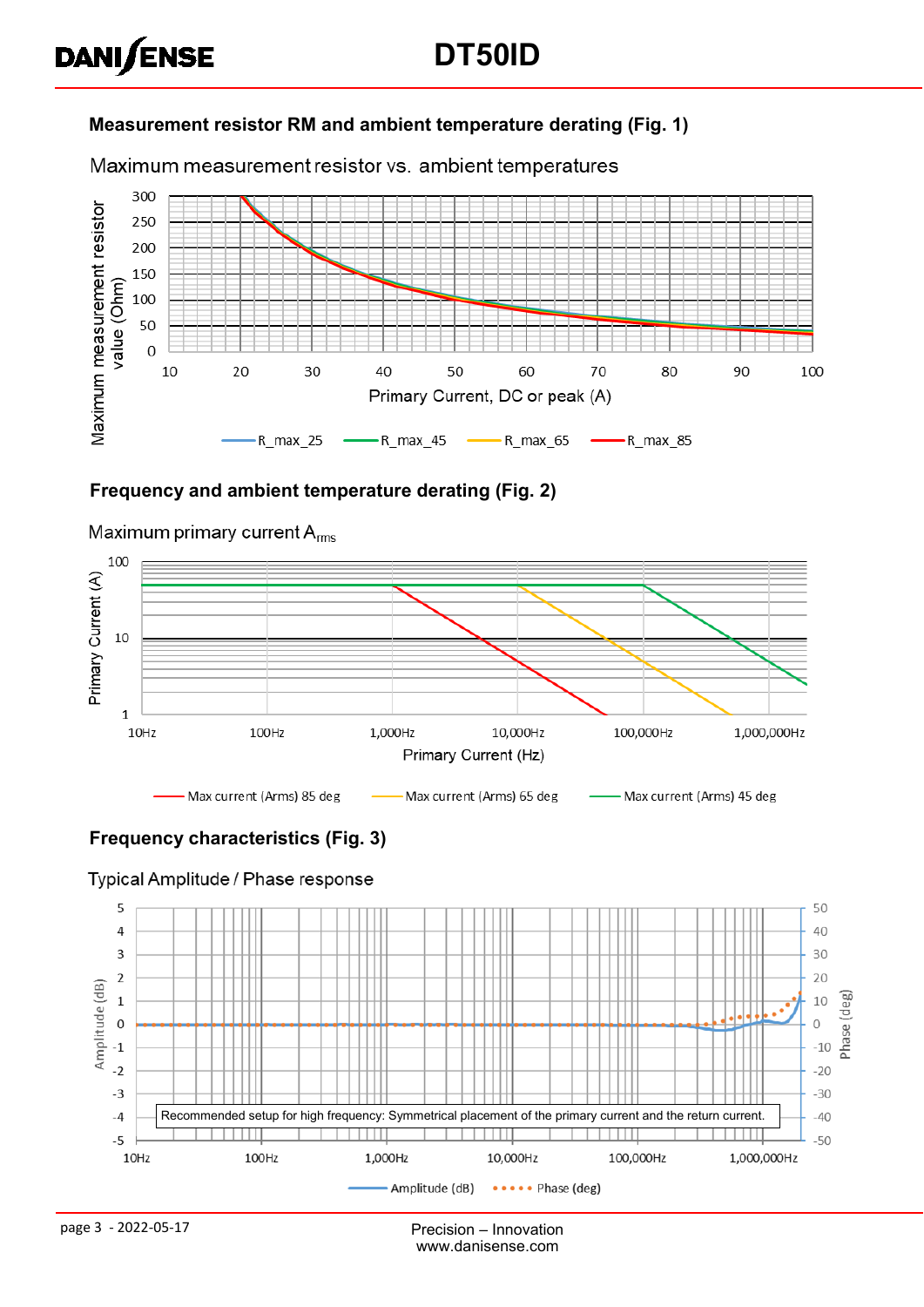#### **Measurement resistor RM and ambient temperature derating (Fig. 1)**

Maximum measurement resistor vs. ambient temperatures



#### **Frequency and ambient temperature derating (Fig. 2)**



#### Maximum primary current  $A_{rms}$

**DANISENSE** 

#### **Frequency characteristics (Fig. 3)**

#### Typical Amplitude / Phase response

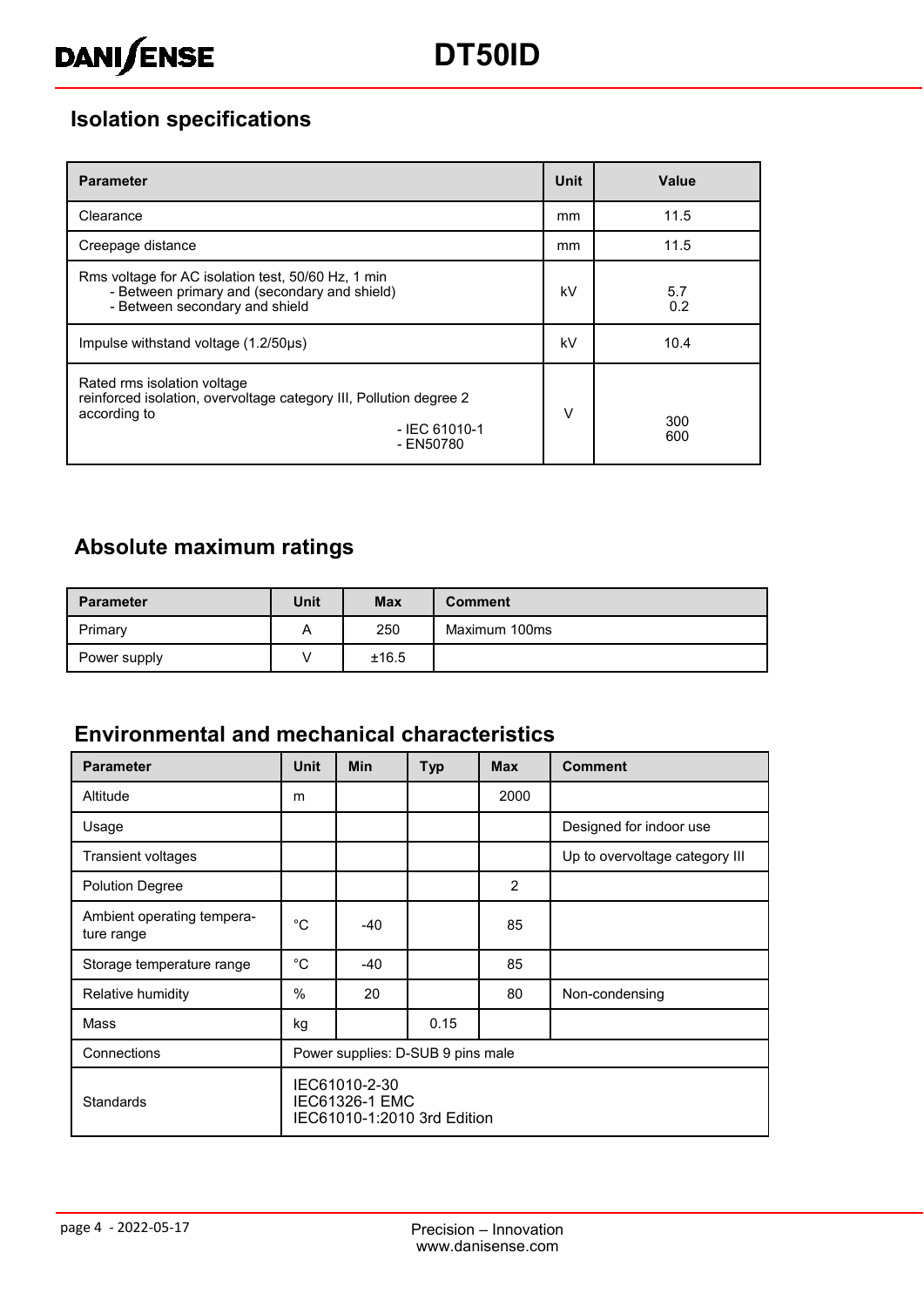## **Isolation specifications**

| <b>Parameter</b>                                                                                                                                  | <b>Unit</b> | Value      |  |
|---------------------------------------------------------------------------------------------------------------------------------------------------|-------------|------------|--|
| Clearance                                                                                                                                         | mm          | 11.5       |  |
| Creepage distance                                                                                                                                 | mm          | 11.5       |  |
| Rms voltage for AC isolation test, 50/60 Hz, 1 min<br>- Between primary and (secondary and shield)<br>- Between secondary and shield              | kV          | 5.7<br>0.2 |  |
| Impulse withstand voltage (1.2/50µs)                                                                                                              | kV          | 10.4       |  |
| Rated rms isolation voltage<br>reinforced isolation, overvoltage category III, Pollution degree 2<br>according to<br>$-$ IEC 61010-1<br>- EN50780 | V           | 300<br>600 |  |

## **Absolute maximum ratings**

| <b>Parameter</b> | <b>Unit</b> | <b>Max</b> | <b>Comment</b> |
|------------------|-------------|------------|----------------|
| Primary          | A           | 250        | Maximum 100ms  |
| Power supply     |             | ±16.5      |                |

### **Environmental and mechanical characteristics**

| <b>Parameter</b>                         | Unit                                                                  | <b>Min</b> | <b>Typ</b> | <b>Max</b>    | <b>Comment</b>                 |
|------------------------------------------|-----------------------------------------------------------------------|------------|------------|---------------|--------------------------------|
| Altitude                                 | m                                                                     |            |            | 2000          |                                |
| Usage                                    |                                                                       |            |            |               | Designed for indoor use        |
| Transient voltages                       |                                                                       |            |            |               | Up to overvoltage category III |
| <b>Polution Degree</b>                   |                                                                       |            |            | $\mathcal{P}$ |                                |
| Ambient operating tempera-<br>ture range | $^{\circ}$ C                                                          | $-40$      |            | 85            |                                |
| Storage temperature range                | $^{\circ}C$                                                           | $-40$      |            | 85            |                                |
| Relative humidity                        | $\frac{0}{0}$                                                         | 20         |            | 80            | Non-condensing                 |
| Mass                                     | kg                                                                    |            | 0.15       |               |                                |
| Connections                              | Power supplies: D-SUB 9 pins male                                     |            |            |               |                                |
| <b>Standards</b>                         | IEC61010-2-30<br><b>IEC61326-1 EMC</b><br>IEC61010-1:2010 3rd Edition |            |            |               |                                |